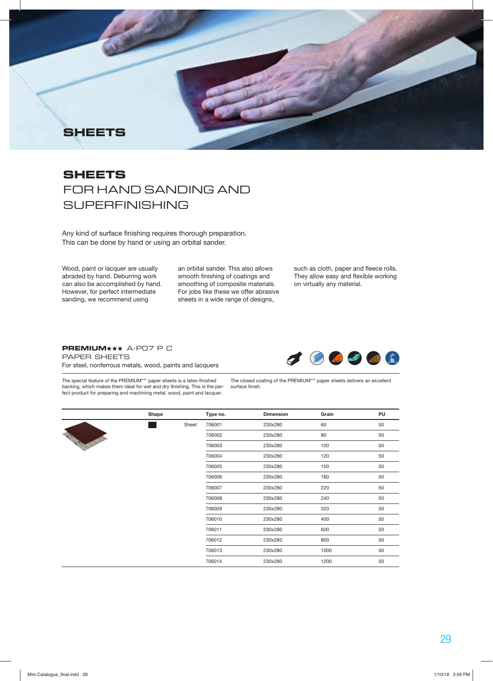# **SHEETS**

# **SHEETS** FOR HAND SANDING AND **SUPERFINISHING**

Any kind of surface finishing requires thorough preparation. This can be done by hand or using an orbital sander.

Wood, paint or lacquer are usually abraded by hand. Deburring work can also be accomplished by hand. However, for perfect intermediate sanding, we recommend using

an orbital sander. This also allows smooth finishing of coatings and smoothing of composite materials. For jobs like these we offer abrasive sheets in a wide range of designs,

such as cloth, paper and fleece rolls. They allow easy and flexible working on virtually any material.

### **PREMIUM\*\*\*** A-PO7 P C

PAPER SHEETS For steel, nonferrous metals, wood, paints and lacquers

BBC B **Coleman Service** 

The special feature of the PREMIUM\*\*\* paper sheets is a latex-finished backing, which makes them ideal for wet and dry finishing. This is the perfect product for preparing and machining metal, wood, paint and lacquer.

The closed coating of the PREMIUM\*\*\* paper sheets delivers an excellent surface finish.

|                   | Shape |       | Type no. | Dimension | Grain | PU |
|-------------------|-------|-------|----------|-----------|-------|----|
|                   |       | Sheet | 706001   | 230x280   | 60    | 50 |
|                   |       |       | 706002   | 230x280   | 80    | 50 |
| <b>Contractor</b> |       |       | 706003   | 230x280   | 100   | 50 |
|                   |       |       | 706004   | 230x280   | 120   | 50 |
|                   |       |       | 706005   | 230x280   | 150   | 50 |
|                   |       |       | 706006   | 230x280   | 180   | 50 |
|                   |       |       | 706007   | 230x280   | 220   | 50 |
|                   |       |       | 706008   | 230x280   | 240   | 50 |
|                   |       |       | 706009   | 230x280   | 320   | 50 |
|                   |       |       | 706010   | 230x280   | 400   | 50 |
|                   |       |       | 706011   | 230x280   | 600   | 50 |
|                   |       |       | 706012   | 230x280   | 800   | 50 |
|                   |       |       | 706013   | 230x280   | 1000  | 50 |
|                   |       |       | 706014   | 230x280   | 1200  | 50 |
|                   |       |       |          |           |       |    |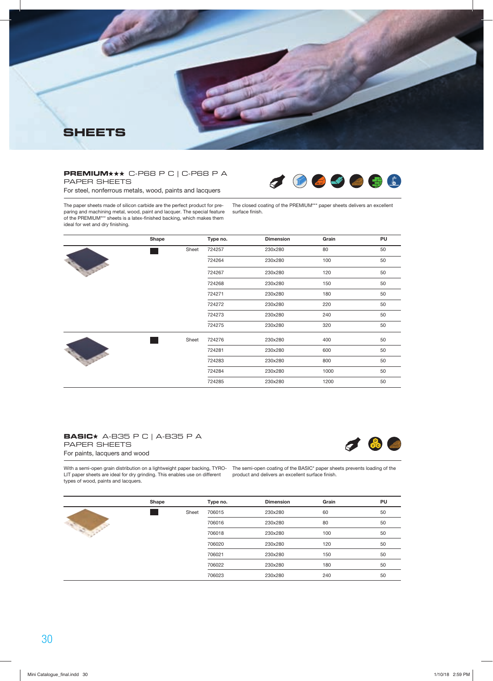

### **PREMIUM** \*\* C-P68 P C | C-P68 P A PAPER SHEETS

For steel, nonferrous metals, wood, paints and lacquers

The paper sheets made of silicon carbide are the perfect product for preparing and machining metal, wood, paint and lacquer. The special feature of the PREMIUM\*\*\* sheets is a latex-finished backing, which makes them ideal for wet and dry finishing.



The closed coating of the PREMIUM\*\*\* paper sheets delivers an excellent surface finish.

|  | Shape |       | Type no. | <b>Dimension</b> | Grain | PU |
|--|-------|-------|----------|------------------|-------|----|
|  |       | Sheet | 724257   | 230x280          | 80    | 50 |
|  |       |       | 724264   | 230x280          | 100   | 50 |
|  |       |       | 724267   | 230x280          | 120   | 50 |
|  |       |       | 724268   | 230x280          | 150   | 50 |
|  |       |       | 724271   | 230x280          | 180   | 50 |
|  |       |       | 724272   | 230x280          | 220   | 50 |
|  |       |       | 724273   | 230x280          | 240   | 50 |
|  |       |       | 724275   | 230x280          | 320   | 50 |
|  |       | Sheet | 724276   | 230x280          | 400   | 50 |
|  |       |       | 724281   | 230x280          | 600   | 50 |
|  |       |       | 724283   | 230x280          | 800   | 50 |
|  |       |       | 724284   | 230x280          | 1000  | 50 |
|  |       |       | 724285   | 230x280          | 1200  | 50 |

### **BASIC** A-B35 P C | A-B35 P A PAPER SHEETS For paints, lacquers and wood



With a semi-open grain distribution on a lightweight paper backing, TYRO- The semi-open coating of the BASIC\* paper sheets prevents loading of the LIT paper sheets are ideal for dry grinding. This enables use on different types of wood, paints and lacquers. product and delivers an excellent surface finish.

| Shape |       | Type no. | <b>Dimension</b> | Grain | PU |
|-------|-------|----------|------------------|-------|----|
|       | Sheet | 706015   | 230x280          | 60    | 50 |
|       |       | 706016   | 230x280          | 80    | 50 |
|       |       | 706018   | 230x280          | 100   | 50 |
|       |       | 706020   | 230x280          | 120   | 50 |
|       |       | 706021   | 230x280          | 150   | 50 |
|       |       | 706022   | 230x280          | 180   | 50 |
|       |       | 706023   | 230x280          | 240   | 50 |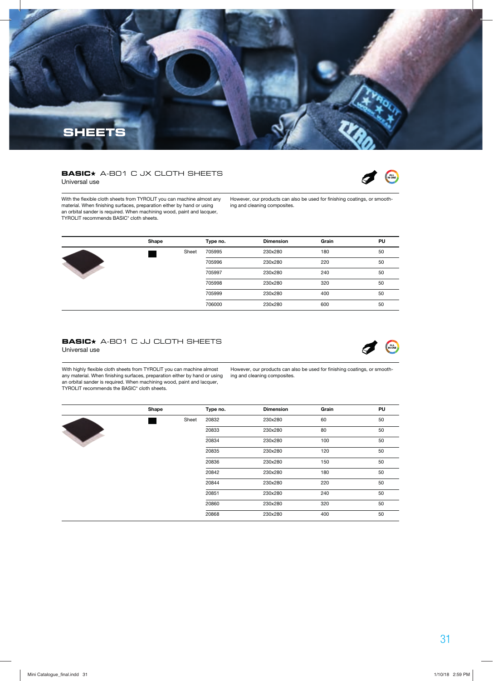

### **BASIC** A-B01 C JX CLOTH SHEETS Universal use



With the flexible cloth sheets from TYROLIT you can machine almost any material. When finishing surfaces, preparation either by hand or using an orbital sander is required. When machining wood, paint and lacquer, TYROLIT recommends BASIC\* cloth sheets.

However, our products can also be used for finishing coatings, or smoothing and cleaning composites.

| Shape |       | Type no. | <b>Dimension</b> | Grain | PU |
|-------|-------|----------|------------------|-------|----|
|       | Sheet | 705995   | 230x280          | 180   | 50 |
|       |       | 705996   | 230x280          | 220   | 50 |
|       |       | 705997   | 230x280          | 240   | 50 |
|       |       | 705998   | 230x280          | 320   | 50 |
|       |       | 705999   | 230x280          | 400   | 50 |
|       |       | 706000   | 230x280          | 600   | 50 |

## **BASIC** A-B01 C JJ CLOTH SHEETS

Universal use

With highly flexible cloth sheets from TYROLIT you can machine almost any material. When finishing surfaces, preparation either by hand or using an orbital sander is required. When machining wood, paint and lacquer, TYROLIT recommends the BASIC\* cloth sheets.

However, our products can also be used for finishing coatings, or smoothing and cleaning composites.

| Shape | Type no. | <b>Dimension</b> | Grain | PU |
|-------|----------|------------------|-------|----|
| Sheet | 20832    | 230x280          | 60    | 50 |
|       | 20833    | 230x280          | 80    | 50 |
|       | 20834    | 230x280          | 100   | 50 |
|       | 20835    | 230x280          | 120   | 50 |
|       | 20836    | 230x280          | 150   | 50 |
|       | 20842    | 230x280          | 180   | 50 |
|       | 20844    | 230x280          | 220   | 50 |
|       | 20851    | 230x280          | 240   | 50 |
|       | 20860    | 230x280          | 320   | 50 |
|       | 20868    | 230x280          | 400   | 50 |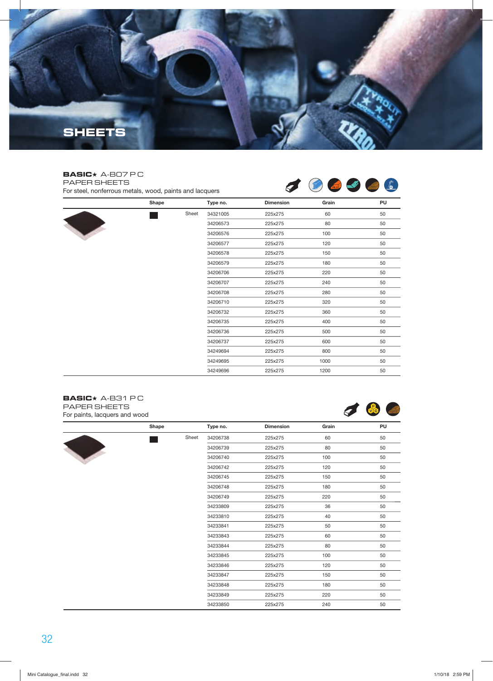

## **BASIC**+A-B07 P C

PAPER SHEETS For steel, nonferrous metals, wood, paints and lacquers



| Shape |       | Type no. | <b>Dimension</b> | Grain | PU |
|-------|-------|----------|------------------|-------|----|
|       | Sheet | 34321005 | 225x275          | 60    | 50 |
|       |       | 34206573 | 225x275          | 80    | 50 |
|       |       | 34206576 | 225x275          | 100   | 50 |
|       |       | 34206577 | 225x275          | 120   | 50 |
|       |       | 34206578 | 225x275          | 150   | 50 |
|       |       | 34206579 | 225x275          | 180   | 50 |
|       |       | 34206706 | 225x275          | 220   | 50 |
|       |       | 34206707 | 225x275          | 240   | 50 |
|       |       | 34206708 | 225x275          | 280   | 50 |
|       |       | 34206710 | 225x275          | 320   | 50 |
|       |       | 34206732 | 225x275          | 360   | 50 |
|       |       | 34206735 | 225x275          | 400   | 50 |
|       |       | 34206736 | 225x275          | 500   | 50 |
|       |       | 34206737 | 225x275          | 600   | 50 |
|       |       | 34249694 | 225x275          | 800   | 50 |
|       |       | 34249695 | 225x275          | 1000  | 50 |
|       |       | 34249696 | 225x275          | 1200  | 50 |

#### **BASIC**+A-B31 P C PAPER SHEETS

For paints, lacquers and wood



| Shape |       | Type no. | <b>Dimension</b> | Grain | PU |
|-------|-------|----------|------------------|-------|----|
|       | Sheet | 34206738 | 225x275          | 60    | 50 |
|       |       | 34206739 | 225x275          | 80    | 50 |
|       |       | 34206740 | 225x275          | 100   | 50 |
|       |       | 34206742 | 225x275          | 120   | 50 |
|       |       | 34206745 | 225x275          | 150   | 50 |
|       |       | 34206748 | 225x275          | 180   | 50 |
|       |       | 34206749 | 225x275          | 220   | 50 |
|       |       | 34233809 | 225x275          | 36    | 50 |
|       |       | 34233810 | 225x275          | 40    | 50 |
|       |       | 34233841 | 225x275          | 50    | 50 |
|       |       | 34233843 | 225x275          | 60    | 50 |
|       |       | 34233844 | 225x275          | 80    | 50 |
|       |       | 34233845 | 225x275          | 100   | 50 |
|       |       | 34233846 | 225x275          | 120   | 50 |
|       |       | 34233847 | 225x275          | 150   | 50 |
|       |       | 34233848 | 225x275          | 180   | 50 |
|       |       | 34233849 | 225x275          | 220   | 50 |
|       |       | 34233850 | 225x275          | 240   | 50 |